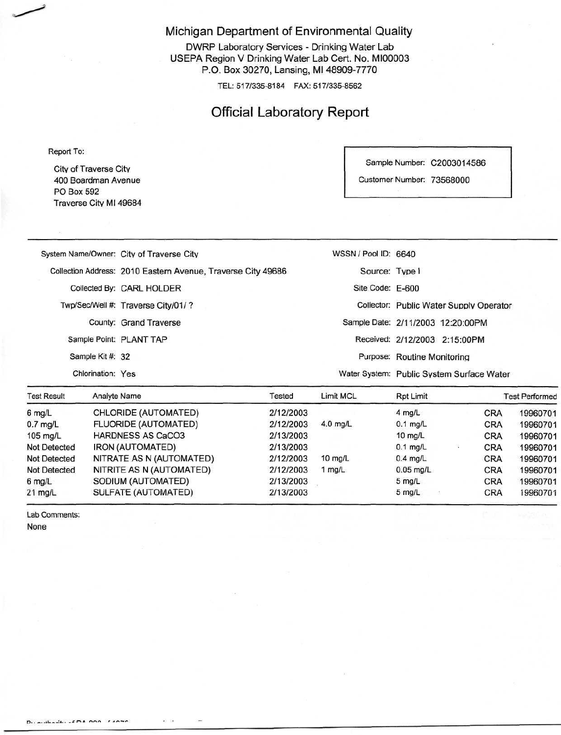Michigan Department of Environmental Quality

DWRP Laboratory Services - Drinking Water Lab USEPA Region V Drinking Water Lab Cert. No. MI00003 P.O. Box 30270, Lansing, Ml 48909-7770

TEL: 517/335-8184 FAX: 517/335-8562

## Official Laboratory Report

Report To:

City of Traverse City 400 Boardman Avenue PO Box 592 Traverse Citv Ml 49684 Sample Number: C2003014586

Customer Number: 73568000

| Toot Dooult      | Toetod<br>Anglyte Name                                       | $I$ imit $MCl$       | $Dn+1$ imit<br>Toot Dorformo              |  |
|------------------|--------------------------------------------------------------|----------------------|-------------------------------------------|--|
|                  | Chlorination: Yes                                            |                      | Water System: Public System Surface Water |  |
| Sample Kit #: 32 |                                                              |                      | Purpose: Routine Monitoring               |  |
|                  | Sample Point: PLANT TAP                                      |                      | Received: 2/12/2003 2:15:00PM             |  |
|                  | County: Grand Traverse                                       |                      | Sample Date: 2/11/2003 12:20:00PM         |  |
|                  | Twp/Sec/Well #: Traverse City/01/?                           |                      | Collector: Public Water Supply Operator   |  |
|                  | Collected By: CARL HOLDER                                    | Site Code: E-600     |                                           |  |
|                  | Collection Address: 2010 Eastern Avenue, Traverse City 49686 | Source: Type I       |                                           |  |
|                  | System Name/Owner: City of Traverse City                     | WSSN / Pool ID: 6640 |                                           |  |
|                  |                                                              |                      |                                           |  |

| <b>Test Result</b>  | Analyte Name             | <b>Fested</b> | <b>Limit MCL</b> | Rpt Limit         |            | <b>Test Performed</b> |  |
|---------------------|--------------------------|---------------|------------------|-------------------|------------|-----------------------|--|
| 6 mg/L              | CHLORIDE (AUTOMATED)     | 2/12/2003     |                  | $4$ mg/L          | <b>CRA</b> | 19960701              |  |
| $0.7$ mg/L          | FLUORIDE (AUTOMATED)     | 2/12/2003     | $4.0$ mg/L       | $0.1$ mg/L        | <b>CRA</b> | 19960701              |  |
| 105 mg/L            | <b>HARDNESS AS CaCO3</b> | 2/13/2003     |                  | 10 $mq/L$         | <b>CRA</b> | 19960701              |  |
| <b>Not Detected</b> | <b>IRON (AUTOMATED)</b>  | 2/13/2003     |                  | $0.1$ mg/L        | CRA        | 19960701              |  |
| <b>Not Detected</b> | NITRATE AS N (AUTOMATED) | 2/12/2003     | $10$ mg/L        | $0.4$ mg/L        | <b>CRA</b> | 19960701              |  |
| <b>Not Detected</b> | NITRITE AS N (AUTOMATED) | 2/12/2003     | 1 $mq/L$         | $0.05$ mg/L       | <b>CRA</b> | 19960701              |  |
| $6$ mg/L            | SODIUM (AUTOMATED)       | 2/13/2003     |                  | $5 \text{ rad/L}$ | <b>CRA</b> | 19960701              |  |
| $21$ mg/L           | SULFATE (AUTOMATED)      | 2/13/2003     |                  | $5 \text{ mq/L}$  | <b>CRA</b> | 19960701              |  |

Lab Comments:

None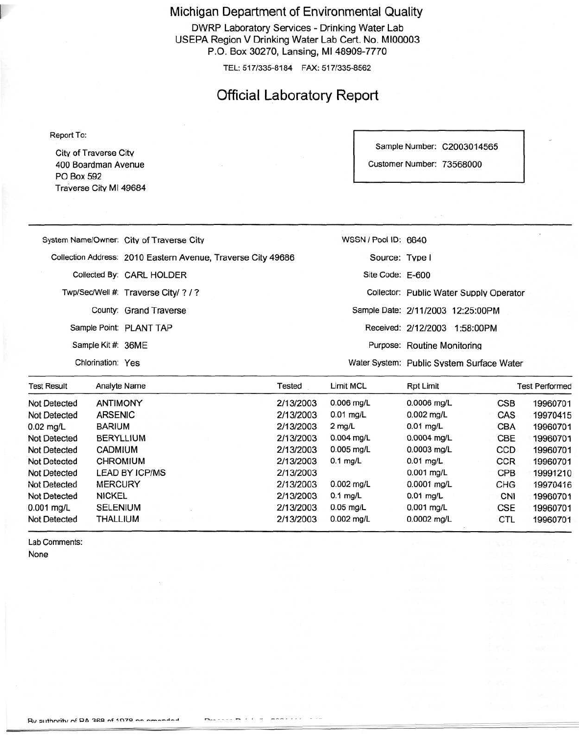Michigan Department of Environmental Quality

DWRP Laboratory Services - Drinking Water Lab USEPA Region V Drinking Water Lab Cert. No. MI00003 P.O. Box 30270, Lansing, Ml 48909-7770

TEL: 517/335-8184 FAX: 517/335-8562

## Official Laboratory Report

Report To:

City of Traverse Citv 400 Boardman Avenue PO Box 592 Traverse Citv Ml 49684 Sample Number: C2003014565

Customer Number: 73568000

0.01 mg/L 0.001 mg/L 0.0001 mg/L 0.01 mg/L 0.001 mg/L 0.0002 mg/L

**CCR** CPB CHG CNI CSE CTL

| System Name/Owner: City of Traverse City                                                                                                                                                                                       |                 |                    |  |                                           | WSSN / Pool ID: 6640                    |               |                  |           |
|--------------------------------------------------------------------------------------------------------------------------------------------------------------------------------------------------------------------------------|-----------------|--------------------|--|-------------------------------------------|-----------------------------------------|---------------|------------------|-----------|
| Collection Address: 2010 Eastern Avenue, Traverse City 49686<br>Collected By: CARL HOLDER<br>Twp/Sec/Well #: Traverse City/?/?<br>County: Grand Traverse<br>Sample Point: PLANT TAP<br>Sample Kit #: 36ME<br>Chlorination: Yes |                 | Source: Type I     |  |                                           |                                         |               |                  |           |
|                                                                                                                                                                                                                                |                 |                    |  | Site Code: E-600                          | Collector: Public Water Supply Operator |               |                  |           |
|                                                                                                                                                                                                                                |                 |                    |  |                                           |                                         |               |                  |           |
|                                                                                                                                                                                                                                |                 |                    |  |                                           | Received: 2/12/2003 1:58:00PM           |               |                  |           |
|                                                                                                                                                                                                                                |                 |                    |  |                                           | Purpose: Routine Monitoring             |               |                  |           |
|                                                                                                                                                                                                                                |                 |                    |  | Water System: Public System Surface Water |                                         |               |                  |           |
|                                                                                                                                                                                                                                |                 | <b>Test Result</b> |  | Analyte Name                              |                                         | Tested        | <b>Limit MCL</b> | Rpt Limit |
| <b>Not Detected</b>                                                                                                                                                                                                            | <b>ANTIMONY</b> |                    |  | 2/13/2003                                 | $0.006$ mg/L                            | $0.0006$ mg/L | CSB              | 19960701  |
| Not Detected                                                                                                                                                                                                                   | <b>ARSENIC</b>  |                    |  | 2/13/2003                                 | $0.01$ mg/L                             | $0.002$ mg/L  | <b>CAS</b>       | 19970415  |
| $0.02$ mg/L                                                                                                                                                                                                                    | <b>BARIUM</b>   |                    |  | 2/13/2003                                 | $2$ mg/L                                | $0.01$ mg/L   | <b>CBA</b>       | 19960701  |
| Not Detected                                                                                                                                                                                                                   |                 | <b>BERYLLIUM</b>   |  | 2/13/2003                                 | $0.004$ mg/L                            | $0.0004$ mg/L | CBE.             | 19960701  |
| Not Detected                                                                                                                                                                                                                   | <b>CADMIUM</b>  |                    |  | 2/13/2003                                 | $0.005$ mg/L                            | $0.0003$ mg/L | CCD              | 19960701  |

2/13/2003 2/13/2003 2/13/2003 2/13/2003 2/13/2003 2/13/2003 0.1 mg/L

0.002 mg/L 0.1 mg/L 0.05 mg/L 0.002 mg/L

Lab Comments: None

Not Detected Not Detected Not Detected Not Detected 0.001 mg/L Not Detected CHROMIUM LEAD BY ICP/MS MERCURY NICKEL SELENIUM THALLIUM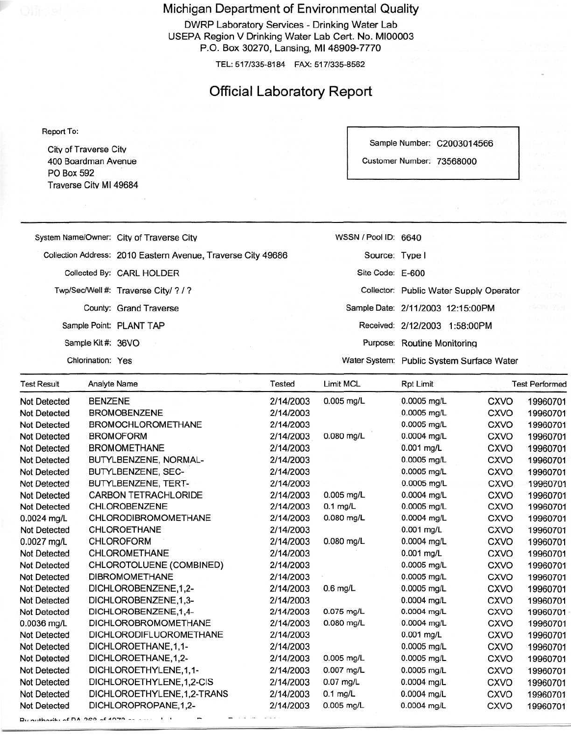Michigan Department of Environmental Quality

DWRP Laboratory Services - Drinking Water Lab USEPA Region V Drinking Water Lab Cert. No. MI00003 P.O. Box 30270, Lansing, Ml 48909-7770

TEL: 517/335-8184 FAX: 517/335-8562

## Official Laboratory Report

Report To:

Citv of Traverse Citv 400 Boardman Avenue PO Box 592 Traverse Citv Ml 49684 Sample Number: C2003014566

Customer Number: 73568000

| Not Datagrad       | DENTENE             |                                                              | 21410002 | $0.005$ mall         | $0.0005$ mall                             | OVI/O | 10000704              |
|--------------------|---------------------|--------------------------------------------------------------|----------|----------------------|-------------------------------------------|-------|-----------------------|
| <b>Test Result</b> | <b>Analyte Name</b> |                                                              | Tested   | Limit MCL            | <b>Rpt Limit</b>                          |       | <b>Test Performed</b> |
|                    | Chlorination: Yes   |                                                              |          |                      | Water System: Public System Surface Water |       |                       |
|                    | Sample Kit #: 36VO  |                                                              |          |                      | Purpose: Routine Monitoring               |       |                       |
|                    |                     | Sample Point: PLANT TAP                                      |          |                      | Received: 2/12/2003 1:58:00PM             |       |                       |
|                    |                     | County: Grand Traverse                                       |          |                      | Sample Date: 2/11/2003 12:15:00PM         |       | 4571 PF               |
|                    |                     | Twp/Sec/Well #: Traverse City/ ? / ?                         |          |                      | Collector: Public Water Supply Operator   |       |                       |
|                    |                     | Collected By: CARL HOLDER                                    |          | Site Code: E-600     |                                           |       |                       |
|                    |                     | Collection Address: 2010 Eastern Avenue, Traverse City 49686 |          | Source: Type I       |                                           |       |                       |
|                    |                     | System Name/Owner: City of Traverse City                     |          | WSSN / Pool ID: 6640 |                                           |       |                       |
|                    |                     |                                                              |          |                      |                                           |       |                       |

| <b>Not Detected</b> | <b>BENZENE</b>                 | 2/14/2003 | $0.005$ mg/L | $0.0005$ mg/L | CXVO        | 19960701 |
|---------------------|--------------------------------|-----------|--------------|---------------|-------------|----------|
| Not Detected        | <b>BROMOBENZENE</b>            | 2/14/2003 |              | $0.0005$ mg/L | <b>CXVO</b> | 19960701 |
| Not Detected        | <b>BROMOCHLOROMETHANE</b>      | 2/14/2003 |              | $0.0005$ mg/L | <b>CXVO</b> | 19960701 |
| <b>Not Detected</b> | <b>BROMOFORM</b>               | 2/14/2003 | $0.080$ mg/L | $0.0004$ mg/L | <b>CXVO</b> | 19960701 |
| Not Detected        | <b>BROMOMETHANE</b>            | 2/14/2003 |              | $0.001$ mg/L  | <b>CXVO</b> | 19960701 |
| Not Detected        | BUTYLBENZENE, NORMAL-          | 2/14/2003 |              | 0.0005 mg/L   | <b>CXVO</b> | 19960701 |
| Not Detected        | BUTYLBENZENE, SEC-             | 2/14/2003 |              | $0.0005$ mg/L | <b>CXVO</b> | 19960701 |
| Not Detected        | BUTYLBENZENE, TERT-            | 2/14/2003 |              | $0.0005$ mg/L | <b>CXVO</b> | 19960701 |
| Not Detected        | CARBON TETRACHLORIDE           | 2/14/2003 | $0.005$ mg/L | 0.0004 mg/L   | CXVO        | 19960701 |
| Not Detected        | CHLOROBENZENE                  | 2/14/2003 | $0.1$ mg/L   | $0.0005$ mg/L | <b>CXVO</b> | 19960701 |
| 0.0024 mg/L         | CHLORODIBROMOMETHANE           | 2/14/2003 | $0.080$ mg/L | 0.0004 mg/L   | <b>CXVO</b> | 19960701 |
| <b>Not Detected</b> | CHLOROETHANE                   | 2/14/2003 |              | $0.001$ mg/L  | <b>CXVO</b> | 19960701 |
| $0.0027$ mg/L       | <b>CHLOROFORM</b>              | 2/14/2003 | $0.080$ mg/L | 0.0004 mg/L   | <b>CXVO</b> | 19960701 |
| Not Detected        | CHLOROMETHANE                  | 2/14/2003 |              | $0.001$ mg/L  | <b>CXVO</b> | 19960701 |
| <b>Not Detected</b> | CHLOROTOLUENE (COMBINED)       | 2/14/2003 |              | 0.0005 mg/L   | <b>CXVO</b> | 19960701 |
| Not Detected        | <b>DIBROMOMETHANE</b>          | 2/14/2003 |              | $0.0005$ mg/L | <b>CXVO</b> | 19960701 |
| <b>Not Detected</b> | DICHLOROBENZENE, 1,2-          | 2/14/2003 | $0.6$ mg/L   | 0.0005 mg/L   | <b>CXVO</b> | 19960701 |
| <b>Not Detected</b> | DICHLOROBENZENE, 1,3-          | 2/14/2003 |              | $0.0004$ mg/L | <b>CXVO</b> | 19960701 |
| Not Detected        | DICHLOROBENZENE, 1,4-          | 2/14/2003 | 0.075 mg/L   | $0.0004$ mg/L | <b>CXVO</b> | 19960701 |
| $0.0036$ mg/L       | <b>DICHLOROBROMOMETHANE</b>    | 2/14/2003 | $0.080$ mg/L | $0.0004$ mg/L | <b>CXVO</b> | 19960701 |
| <b>Not Detected</b> | <b>DICHLORODIFLUOROMETHANE</b> | 2/14/2003 |              | 0.001 mg/L    | CXVO        | 19960701 |
| Not Detected        | DICHLOROETHANE, 1, 1-          | 2/14/2003 |              | 0.0005 mg/L   | <b>CXVO</b> | 19960701 |
| <b>Not Detected</b> | DICHLOROETHANE, 1, 2-          | 2/14/2003 | 0.005 mg/L   | $0.0005$ mg/L | <b>CXVO</b> | 19960701 |
| <b>Not Detected</b> | DICHLOROETHYLENE, 1, 1-        | 2/14/2003 | $0.007$ mg/L | 0.0005 mg/L   | CXVO        | 19960701 |
| Not Detected        | DICHLOROETHYLENE,1,2-CIS       | 2/14/2003 | $0.07$ mg/L  | $0.0004$ mg/L | CXVO        | 19960701 |
| <b>Not Detected</b> | DICHLOROETHYLENE,1,2-TRANS     | 2/14/2003 | $0.1$ mg/L   | 0.0004 mg/L   | <b>CXVO</b> | 19960701 |
| Not Detected        | DICHLOROPROPANE, 1, 2-         | 2/14/2003 | $0.005$ mg/L | 0.0004 mg/L   | <b>CXVO</b> | 19960701 |
|                     |                                |           |              |               |             |          |